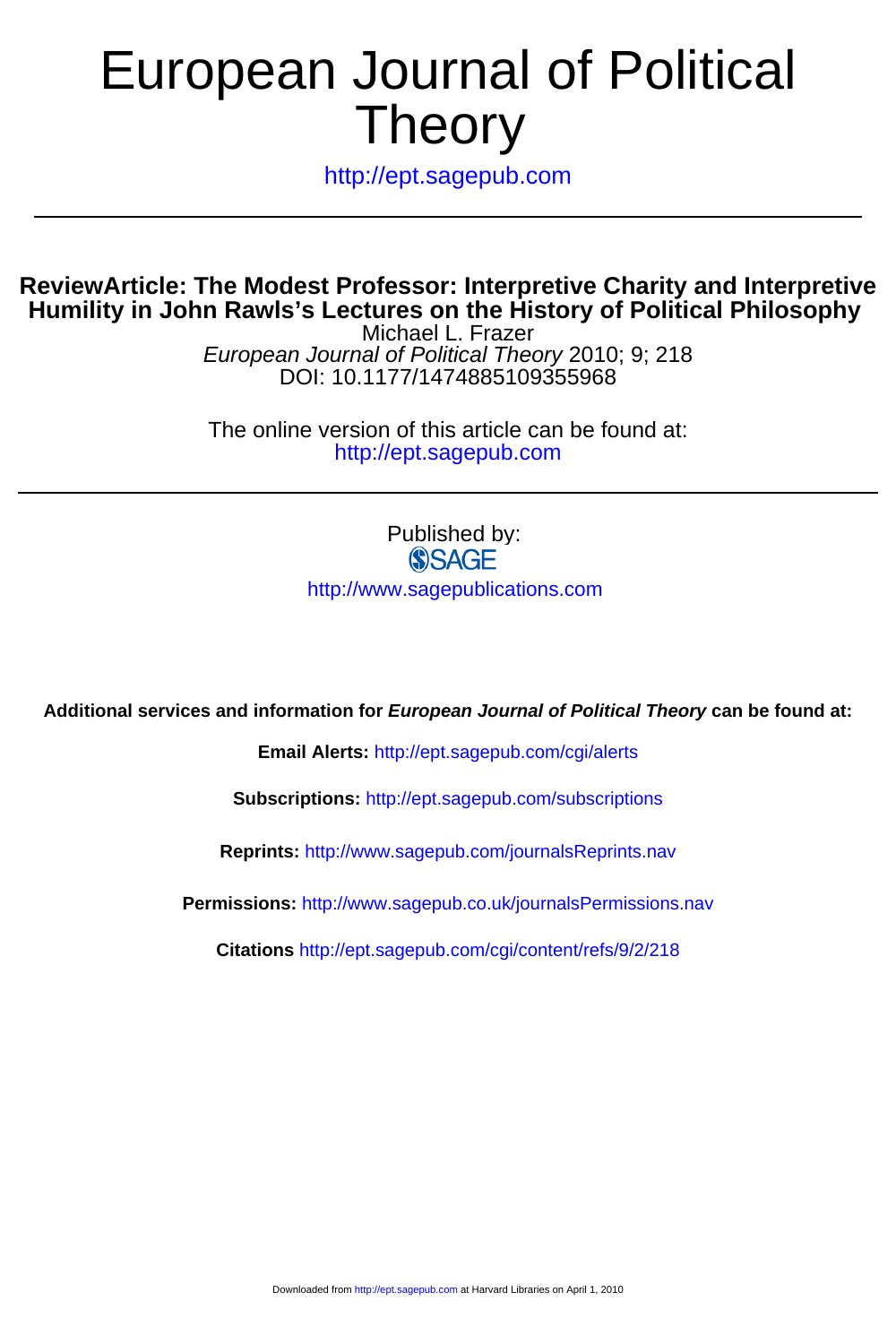# Theory European Journal of Political

http://ept.sagepub.com

#### Michael L. Frazer **Humility in John Rawls's Lectures on the History of Political Philosophy ReviewArticle: The Modest Professor: Interpretive Charity and Interpretive**

DOI: 10.1177/1474885109355968 European Journal of Political Theory 2010; 9; 218

http://ept.sagepub.com The online version of this article can be found at:

> Published by: **SSAGE** http://www.sagepublications.com

**Additional services and information for European Journal of Political Theory can be found at:**

**Email Alerts:** <http://ept.sagepub.com/cgi/alerts>

**Subscriptions:** <http://ept.sagepub.com/subscriptions>

**Reprints:** <http://www.sagepub.com/journalsReprints.nav>

**Permissions:** <http://www.sagepub.co.uk/journalsPermissions.nav>

**Citations** <http://ept.sagepub.com/cgi/content/refs/9/2/218>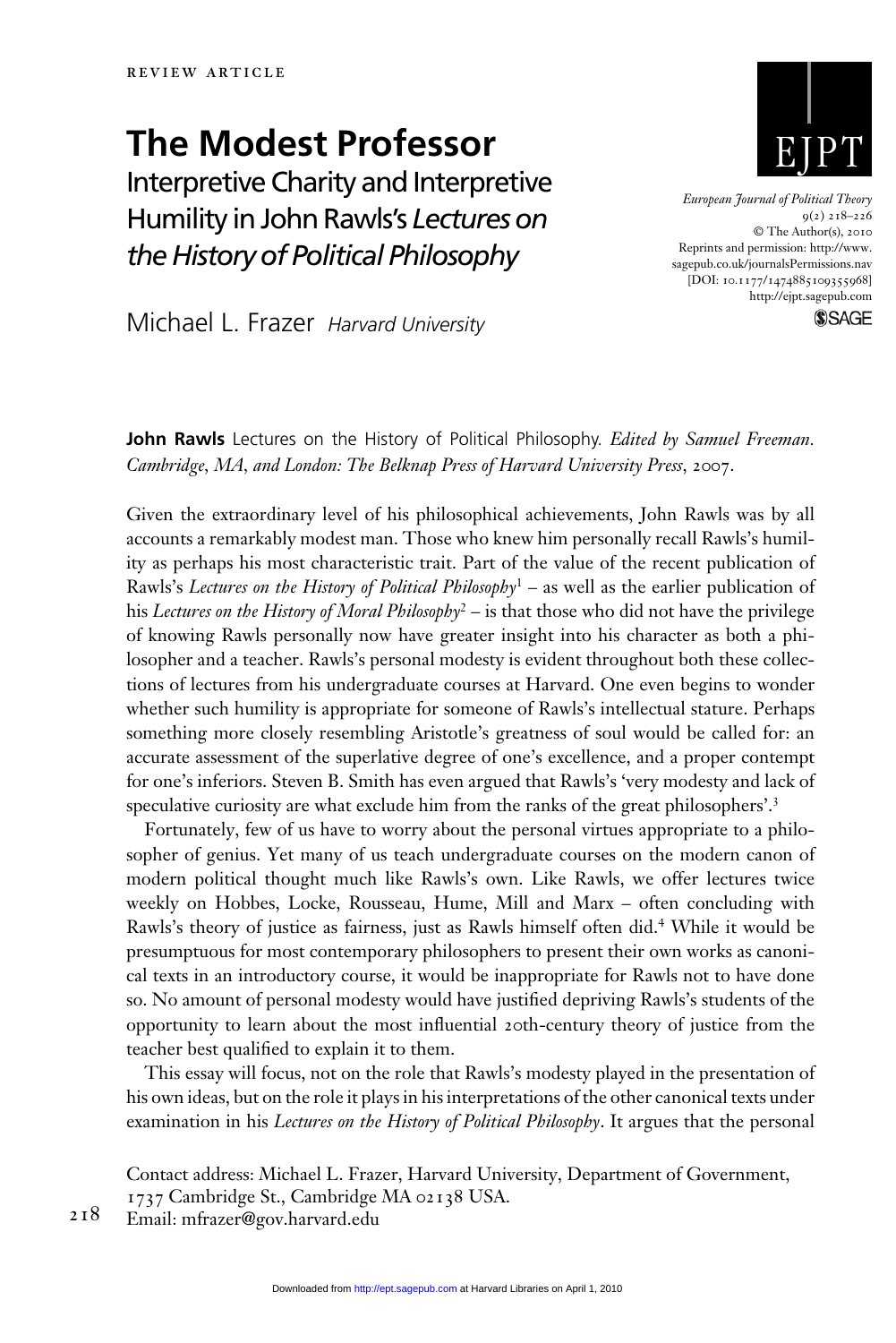# **The Modest Professor**  Interpretive Charity and Interpretive Humility in John Rawls's *Lectures on the History of Political Philosophy*



*European Journal of Political Theory* 9(2) 218–226 © The Author(s), 2010 Reprints and permission: http://www. sagepub.co.uk/journalsPermissions.nav [DOI: 10.1177/1474885109355968] http://ejpt.sagepub.com

**SSAGE** 

Michael L. Frazer *Harvard University*

**John Rawls** Lectures on the History of Political Philosophy. *Edited by Samuel Freeman. Cambridge, MA, and London: The Belknap Press of Harvard University Press*, 2007.

Given the extraordinary level of his philosophical achievements, John Rawls was by all accounts a remarkably modest man. Those who knew him personally recall Rawls's humility as perhaps his most characteristic trait. Part of the value of the recent publication of Rawls's *Lectures on the History of Political Philosophy*<sup>1</sup> – as well as the earlier publication of his *Lectures on the History of Moral Philosophy*<sup>2</sup> – is that those who did not have the privilege of knowing Rawls personally now have greater insight into his character as both a philosopher and a teacher. Rawls's personal modesty is evident throughout both these collections of lectures from his undergraduate courses at Harvard. One even begins to wonder whether such humility is appropriate for someone of Rawls's intellectual stature. Perhaps something more closely resembling Aristotle's greatness of soul would be called for: an accurate assessment of the superlative degree of one's excellence, and a proper contempt for one's inferiors. Steven B. Smith has even argued that Rawls's 'very modesty and lack of speculative curiosity are what exclude him from the ranks of the great philosophers'.<sup>3</sup>

Fortunately, few of us have to worry about the personal virtues appropriate to a philosopher of genius. Yet many of us teach undergraduate courses on the modern canon of modern political thought much like Rawls's own. Like Rawls, we offer lectures twice weekly on Hobbes, Locke, Rousseau, Hume, Mill and Marx – often concluding with Rawls's theory of justice as fairness, just as Rawls himself often did.<sup>4</sup> While it would be presumptuous for most contemporary philosophers to present their own works as canonical texts in an introductory course, it would be inappropriate for Rawls not to have done so. No amount of personal modesty would have justified depriving Rawls's students of the opportunity to learn about the most influential 20th-century theory of justice from the teacher best qualified to explain it to them.

This essay will focus, not on the role that Rawls's modesty played in the presentation of his own ideas, but on the role it plays in his interpretations of the other canonical texts under examination in his *Lectures on the History of Political Philosophy*. It argues that the personal

Contact address: Michael L. Frazer, Harvard University, Department of Government, 1737 Cambridge St., Cambridge MA 02138 USA.

218 Email: mfrazer@gov.harvard.edu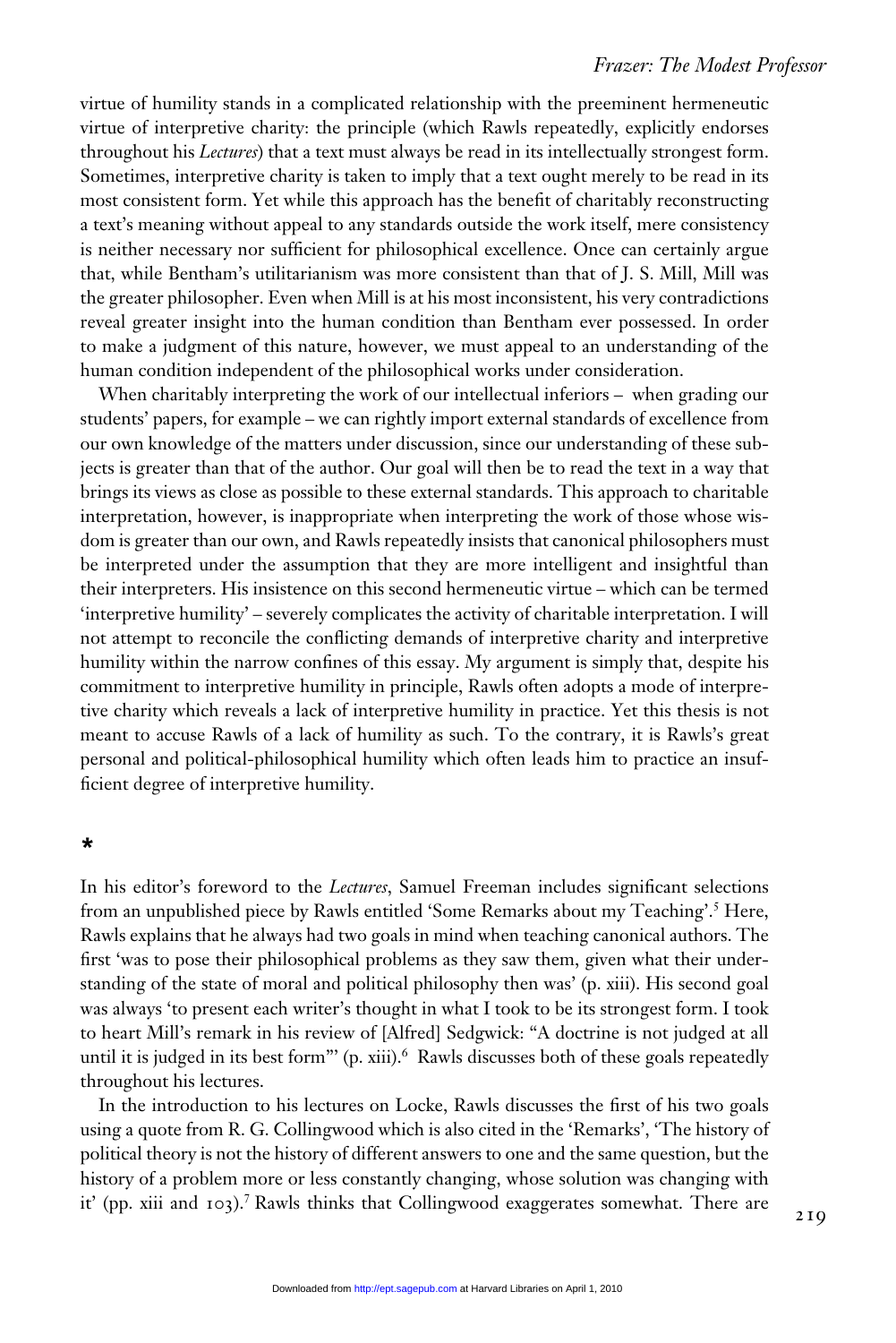virtue of humility stands in a complicated relationship with the preeminent hermeneutic virtue of interpretive charity: the principle (which Rawls repeatedly, explicitly endorses throughout his *Lectures*) that a text must always be read in its intellectually strongest form. Sometimes, interpretive charity is taken to imply that a text ought merely to be read in its most consistent form. Yet while this approach has the benefit of charitably reconstructing a text's meaning without appeal to any standards outside the work itself, mere consistency is neither necessary nor sufficient for philosophical excellence. Once can certainly argue that, while Bentham's utilitarianism was more consistent than that of J. S. Mill, Mill was the greater philosopher. Even when Mill is at his most inconsistent, his very contradictions reveal greater insight into the human condition than Bentham ever possessed. In order to make a judgment of this nature, however, we must appeal to an understanding of the human condition independent of the philosophical works under consideration.

When charitably interpreting the work of our intellectual inferiors – when grading our students' papers, for example – we can rightly import external standards of excellence from our own knowledge of the matters under discussion, since our understanding of these subjects is greater than that of the author. Our goal will then be to read the text in a way that brings its views as close as possible to these external standards. This approach to charitable interpretation, however, is inappropriate when interpreting the work of those whose wisdom is greater than our own, and Rawls repeatedly insists that canonical philosophers must be interpreted under the assumption that they are more intelligent and insightful than their interpreters. His insistence on this second hermeneutic virtue – which can be termed 'interpretive humility' – severely complicates the activity of charitable interpretation. I will not attempt to reconcile the conflicting demands of interpretive charity and interpretive humility within the narrow confines of this essay. My argument is simply that, despite his commitment to interpretive humility in principle, Rawls often adopts a mode of interpretive charity which reveals a lack of interpretive humility in practice. Yet this thesis is not meant to accuse Rawls of a lack of humility as such. To the contrary, it is Rawls's great personal and political-philosophical humility which often leads him to practice an insufficient degree of interpretive humility.

#### **\***

In his editor's foreword to the *Lectures*, Samuel Freeman includes significant selections from an unpublished piece by Rawls entitled 'Some Remarks about my Teaching'.<sup>5</sup> Here, Rawls explains that he always had two goals in mind when teaching canonical authors. The first 'was to pose their philosophical problems as they saw them, given what their understanding of the state of moral and political philosophy then was' (p. xiii). His second goal was always 'to present each writer's thought in what I took to be its strongest form. I took to heart Mill's remark in his review of [Alfred] Sedgwick: "A doctrine is not judged at all until it is judged in its best form"' (p. xiii).<sup>6</sup> Rawls discusses both of these goals repeatedly throughout his lectures.

In the introduction to his lectures on Locke, Rawls discusses the first of his two goals using a quote from R. G. Collingwood which is also cited in the 'Remarks', 'The history of political theory is not the history of different answers to one and the same question, but the history of a problem more or less constantly changing, whose solution was changing with it' (pp. xiii and 103).<sup>7</sup> Rawls thinks that Collingwood exaggerates somewhat. There are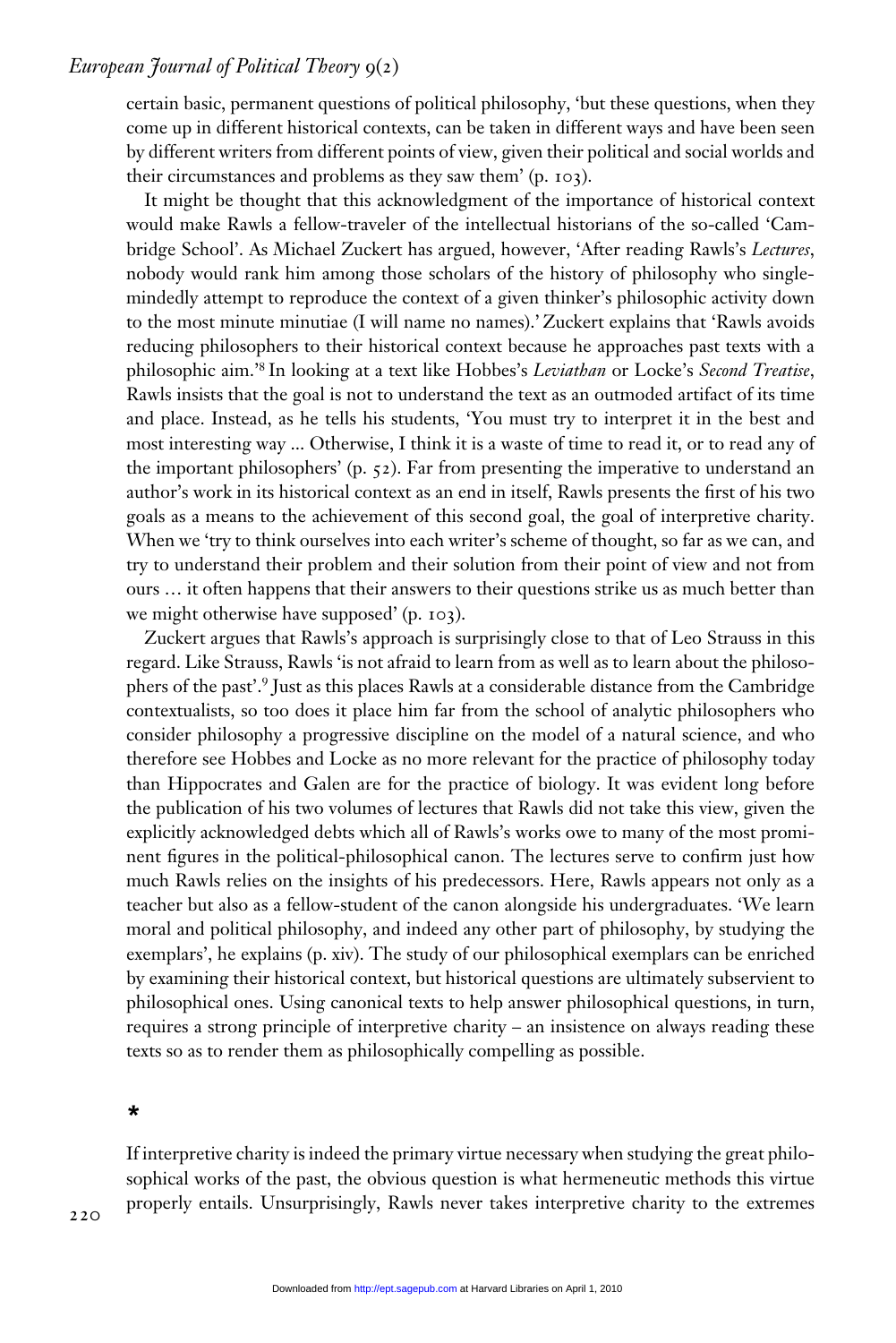certain basic, permanent questions of political philosophy, 'but these questions, when they come up in different historical contexts, can be taken in different ways and have been seen by different writers from different points of view, given their political and social worlds and their circumstances and problems as they saw them' (p. 103).

It might be thought that this acknowledgment of the importance of historical context would make Rawls a fellow-traveler of the intellectual historians of the so-called 'Cambridge School'. As Michael Zuckert has argued, however, 'After reading Rawls's *Lectures*, nobody would rank him among those scholars of the history of philosophy who singlemindedly attempt to reproduce the context of a given thinker's philosophic activity down to the most minute minutiae (I will name no names).' Zuckert explains that 'Rawls avoids reducing philosophers to their historical context because he approaches past texts with a philosophic aim.'<sup>8</sup>In looking at a text like Hobbes's *Leviathan* or Locke's *Second Treatise*, Rawls insists that the goal is not to understand the text as an outmoded artifact of its time and place. Instead, as he tells his students, 'You must try to interpret it in the best and most interesting way ... Otherwise, I think it is a waste of time to read it, or to read any of the important philosophers'  $(p, 52)$ . Far from presenting the imperative to understand an author's work in its historical context as an end in itself, Rawls presents the first of his two goals as a means to the achievement of this second goal, the goal of interpretive charity. When we 'try to think ourselves into each writer's scheme of thought, so far as we can, and try to understand their problem and their solution from their point of view and not from ours … it often happens that their answers to their questions strike us as much better than we might otherwise have supposed' (p. 103).

Zuckert argues that Rawls's approach is surprisingly close to that of Leo Strauss in this regard. Like Strauss, Rawls 'is not afraid to learn from as well as to learn about the philosophers of the past'.<sup>9</sup> Just as this places Rawls at a considerable distance from the Cambridge contextualists, so too does it place him far from the school of analytic philosophers who consider philosophy a progressive discipline on the model of a natural science, and who therefore see Hobbes and Locke as no more relevant for the practice of philosophy today than Hippocrates and Galen are for the practice of biology. It was evident long before the publication of his two volumes of lectures that Rawls did not take this view, given the explicitly acknowledged debts which all of Rawls's works owe to many of the most prominent figures in the political-philosophical canon. The lectures serve to confirm just how much Rawls relies on the insights of his predecessors. Here, Rawls appears not only as a teacher but also as a fellow-student of the canon alongside his undergraduates. 'We learn moral and political philosophy, and indeed any other part of philosophy, by studying the exemplars', he explains (p. xiv). The study of our philosophical exemplars can be enriched by examining their historical context, but historical questions are ultimately subservient to philosophical ones. Using canonical texts to help answer philosophical questions, in turn, requires a strong principle of interpretive charity – an insistence on always reading these texts so as to render them as philosophically compelling as possible.

**\***

If interpretive charity is indeed the primary virtue necessary when studying the great philosophical works of the past, the obvious question is what hermeneutic methods this virtue properly entails. Unsurprisingly, Rawls never takes interpretive charity to the extremes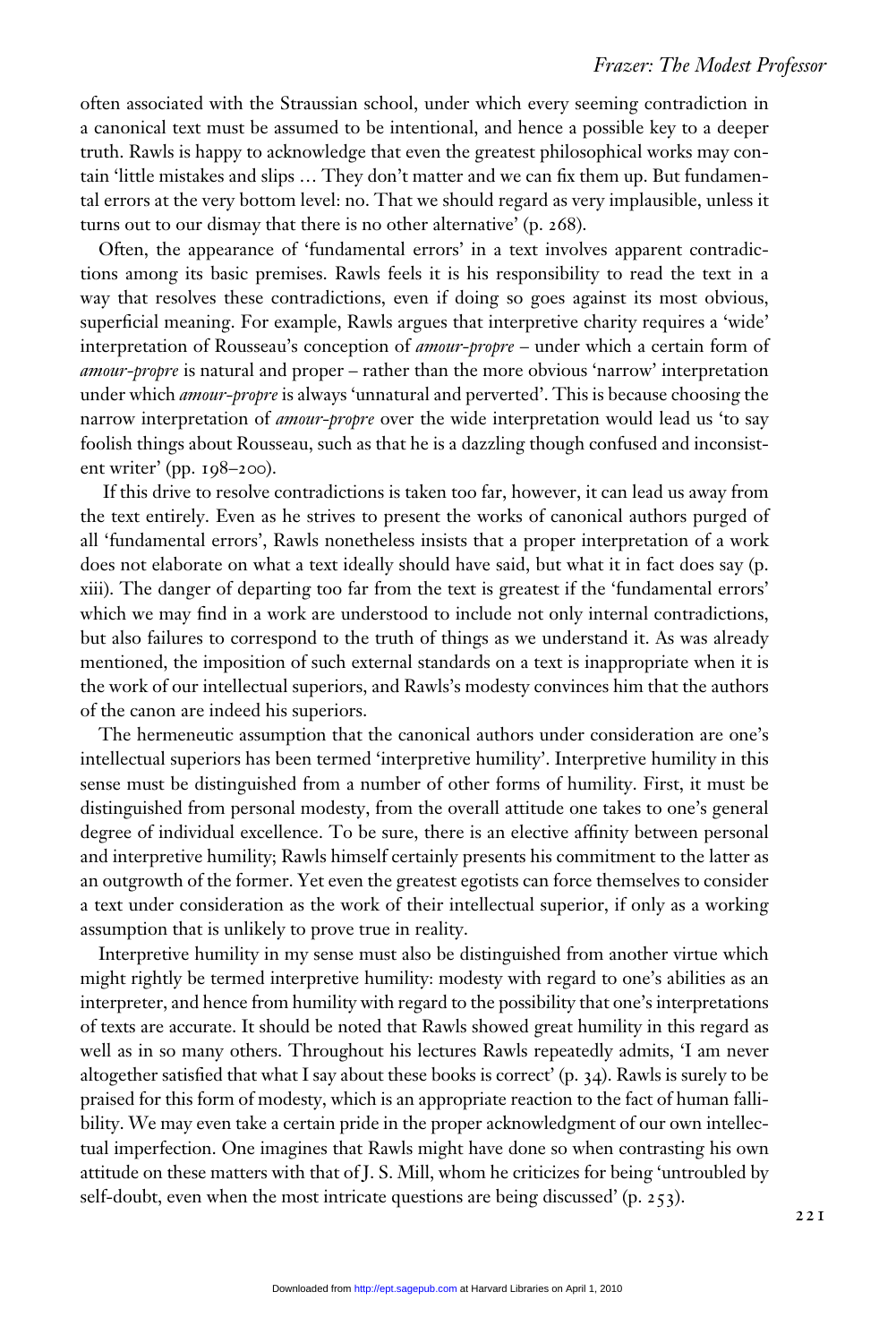often associated with the Straussian school, under which every seeming contradiction in a canonical text must be assumed to be intentional, and hence a possible key to a deeper truth. Rawls is happy to acknowledge that even the greatest philosophical works may contain 'little mistakes and slips … They don't matter and we can fix them up. But fundamental errors at the very bottom level: no. That we should regard as very implausible, unless it turns out to our dismay that there is no other alternative' (p. 268).

Often, the appearance of 'fundamental errors' in a text involves apparent contradictions among its basic premises. Rawls feels it is his responsibility to read the text in a way that resolves these contradictions, even if doing so goes against its most obvious, superficial meaning. For example, Rawls argues that interpretive charity requires a 'wide' interpretation of Rousseau's conception of *amour-propre* – under which a certain form of *amour-propre* is natural and proper – rather than the more obvious 'narrow' interpretation under which *amour-propre* is always 'unnatural and perverted'. This is because choosing the narrow interpretation of *amour-propre* over the wide interpretation would lead us 'to say foolish things about Rousseau, such as that he is a dazzling though confused and inconsistent writer' (pp. 198–200).

 If this drive to resolve contradictions is taken too far, however, it can lead us away from the text entirely. Even as he strives to present the works of canonical authors purged of all 'fundamental errors', Rawls nonetheless insists that a proper interpretation of a work does not elaborate on what a text ideally should have said, but what it in fact does say (p. xiii). The danger of departing too far from the text is greatest if the 'fundamental errors' which we may find in a work are understood to include not only internal contradictions, but also failures to correspond to the truth of things as we understand it. As was already mentioned, the imposition of such external standards on a text is inappropriate when it is the work of our intellectual superiors, and Rawls's modesty convinces him that the authors of the canon are indeed his superiors.

The hermeneutic assumption that the canonical authors under consideration are one's intellectual superiors has been termed 'interpretive humility'. Interpretive humility in this sense must be distinguished from a number of other forms of humility. First, it must be distinguished from personal modesty, from the overall attitude one takes to one's general degree of individual excellence. To be sure, there is an elective affinity between personal and interpretive humility; Rawls himself certainly presents his commitment to the latter as an outgrowth of the former. Yet even the greatest egotists can force themselves to consider a text under consideration as the work of their intellectual superior, if only as a working assumption that is unlikely to prove true in reality.

Interpretive humility in my sense must also be distinguished from another virtue which might rightly be termed interpretive humility: modesty with regard to one's abilities as an interpreter, and hence from humility with regard to the possibility that one's interpretations of texts are accurate. It should be noted that Rawls showed great humility in this regard as well as in so many others. Throughout his lectures Rawls repeatedly admits, 'I am never altogether satisfied that what I say about these books is correct' (p. 34). Rawls is surely to be praised for this form of modesty, which is an appropriate reaction to the fact of human fallibility. We may even take a certain pride in the proper acknowledgment of our own intellectual imperfection. One imagines that Rawls might have done so when contrasting his own attitude on these matters with that of J. S. Mill, whom he criticizes for being 'untroubled by self-doubt, even when the most intricate questions are being discussed' (p. 253).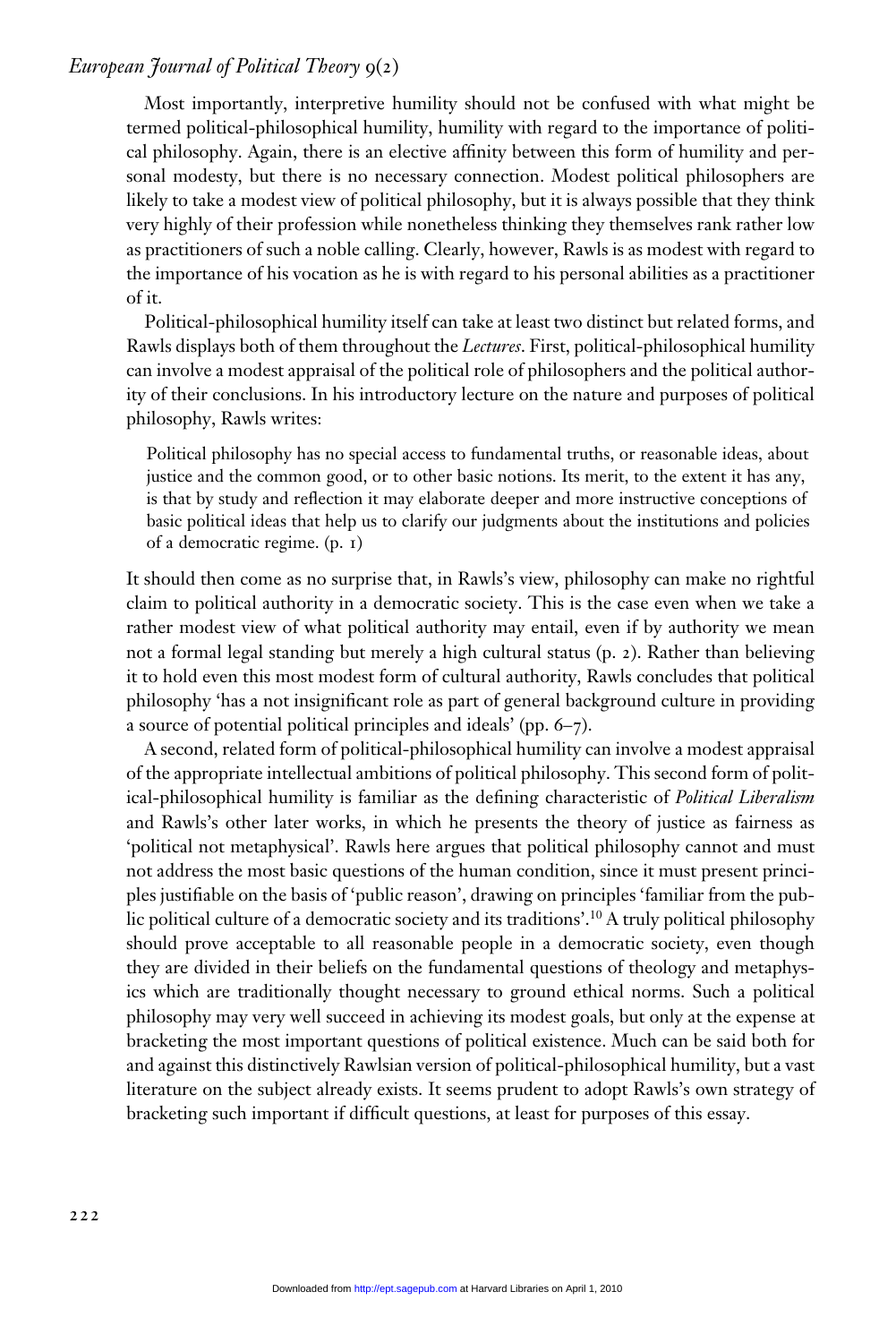Most importantly, interpretive humility should not be confused with what might be termed political-philosophical humility, humility with regard to the importance of political philosophy. Again, there is an elective affinity between this form of humility and personal modesty, but there is no necessary connection. Modest political philosophers are likely to take a modest view of political philosophy, but it is always possible that they think very highly of their profession while nonetheless thinking they themselves rank rather low as practitioners of such a noble calling. Clearly, however, Rawls is as modest with regard to the importance of his vocation as he is with regard to his personal abilities as a practitioner of it.

Political-philosophical humility itself can take at least two distinct but related forms, and Rawls displays both of them throughout the *Lectures*. First, political-philosophical humility can involve a modest appraisal of the political role of philosophers and the political authority of their conclusions. In his introductory lecture on the nature and purposes of political philosophy, Rawls writes:

Political philosophy has no special access to fundamental truths, or reasonable ideas, about justice and the common good, or to other basic notions. Its merit, to the extent it has any, is that by study and reflection it may elaborate deeper and more instructive conceptions of basic political ideas that help us to clarify our judgments about the institutions and policies of a democratic regime. (p. 1)

It should then come as no surprise that, in Rawls's view, philosophy can make no rightful claim to political authority in a democratic society. This is the case even when we take a rather modest view of what political authority may entail, even if by authority we mean not a formal legal standing but merely a high cultural status (p. 2). Rather than believing it to hold even this most modest form of cultural authority, Rawls concludes that political philosophy 'has a not insignificant role as part of general background culture in providing a source of potential political principles and ideals' (pp. 6–7).

A second, related form of political-philosophical humility can involve a modest appraisal of the appropriate intellectual ambitions of political philosophy. This second form of political-philosophical humility is familiar as the defining characteristic of *Political Liberalism*  and Rawls's other later works, in which he presents the theory of justice as fairness as 'political not metaphysical'. Rawls here argues that political philosophy cannot and must not address the most basic questions of the human condition, since it must present principles justifiable on the basis of 'public reason', drawing on principles 'familiar from the public political culture of a democratic society and its traditions'.<sup>10</sup> A truly political philosophy should prove acceptable to all reasonable people in a democratic society, even though they are divided in their beliefs on the fundamental questions of theology and metaphysics which are traditionally thought necessary to ground ethical norms. Such a political philosophy may very well succeed in achieving its modest goals, but only at the expense at bracketing the most important questions of political existence. Much can be said both for and against this distinctively Rawlsian version of political-philosophical humility, but a vast literature on the subject already exists. It seems prudent to adopt Rawls's own strategy of bracketing such important if difficult questions, at least for purposes of this essay.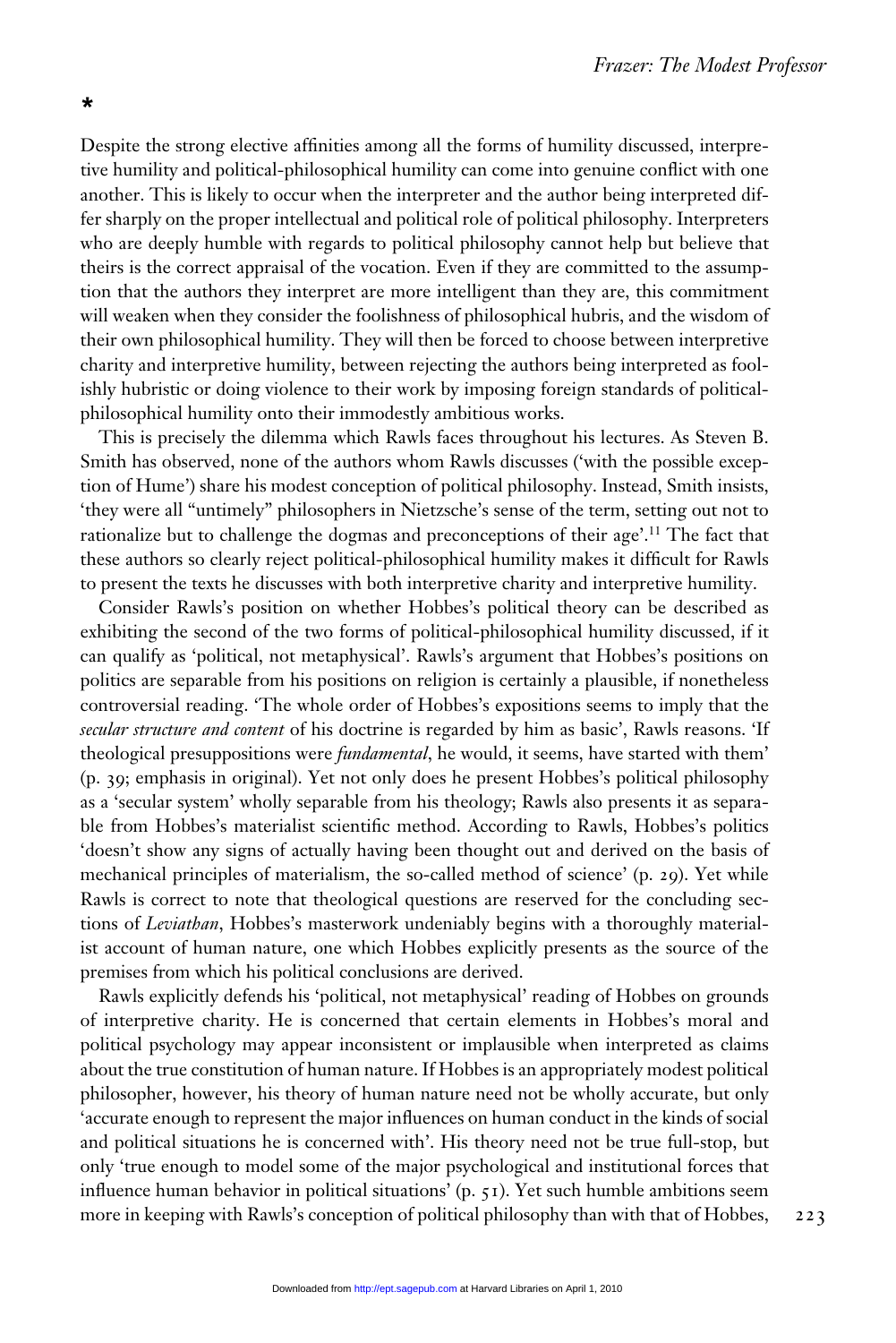Despite the strong elective affinities among all the forms of humility discussed, interpretive humility and political-philosophical humility can come into genuine conflict with one another. This is likely to occur when the interpreter and the author being interpreted differ sharply on the proper intellectual and political role of political philosophy. Interpreters who are deeply humble with regards to political philosophy cannot help but believe that theirs is the correct appraisal of the vocation. Even if they are committed to the assumption that the authors they interpret are more intelligent than they are, this commitment will weaken when they consider the foolishness of philosophical hubris, and the wisdom of their own philosophical humility. They will then be forced to choose between interpretive charity and interpretive humility, between rejecting the authors being interpreted as foolishly hubristic or doing violence to their work by imposing foreign standards of politicalphilosophical humility onto their immodestly ambitious works.

This is precisely the dilemma which Rawls faces throughout his lectures. As Steven B. Smith has observed, none of the authors whom Rawls discusses ('with the possible exception of Hume') share his modest conception of political philosophy. Instead, Smith insists, 'they were all "untimely" philosophers in Nietzsche's sense of the term, setting out not to rationalize but to challenge the dogmas and preconceptions of their age'.<sup>11</sup> The fact that these authors so clearly reject political-philosophical humility makes it difficult for Rawls to present the texts he discusses with both interpretive charity and interpretive humility.

Consider Rawls's position on whether Hobbes's political theory can be described as exhibiting the second of the two forms of political-philosophical humility discussed, if it can qualify as 'political, not metaphysical'. Rawls's argument that Hobbes's positions on politics are separable from his positions on religion is certainly a plausible, if nonetheless controversial reading. 'The whole order of Hobbes's expositions seems to imply that the *secular structure and content* of his doctrine is regarded by him as basic', Rawls reasons. 'If theological presuppositions were *fundamental*, he would, it seems, have started with them' (p. 39; emphasis in original). Yet not only does he present Hobbes's political philosophy as a 'secular system' wholly separable from his theology; Rawls also presents it as separable from Hobbes's materialist scientific method. According to Rawls, Hobbes's politics 'doesn't show any signs of actually having been thought out and derived on the basis of mechanical principles of materialism, the so-called method of science' (p. 29). Yet while Rawls is correct to note that theological questions are reserved for the concluding sections of *Leviathan*, Hobbes's masterwork undeniably begins with a thoroughly materialist account of human nature, one which Hobbes explicitly presents as the source of the premises from which his political conclusions are derived.

Rawls explicitly defends his 'political, not metaphysical' reading of Hobbes on grounds of interpretive charity. He is concerned that certain elements in Hobbes's moral and political psychology may appear inconsistent or implausible when interpreted as claims about the true constitution of human nature. If Hobbes is an appropriately modest political philosopher, however, his theory of human nature need not be wholly accurate, but only 'accurate enough to represent the major influences on human conduct in the kinds of social and political situations he is concerned with'. His theory need not be true full-stop, but only 'true enough to model some of the major psychological and institutional forces that influence human behavior in political situations' (p. 51). Yet such humble ambitions seem more in keeping with Rawls's conception of political philosophy than with that of Hobbes,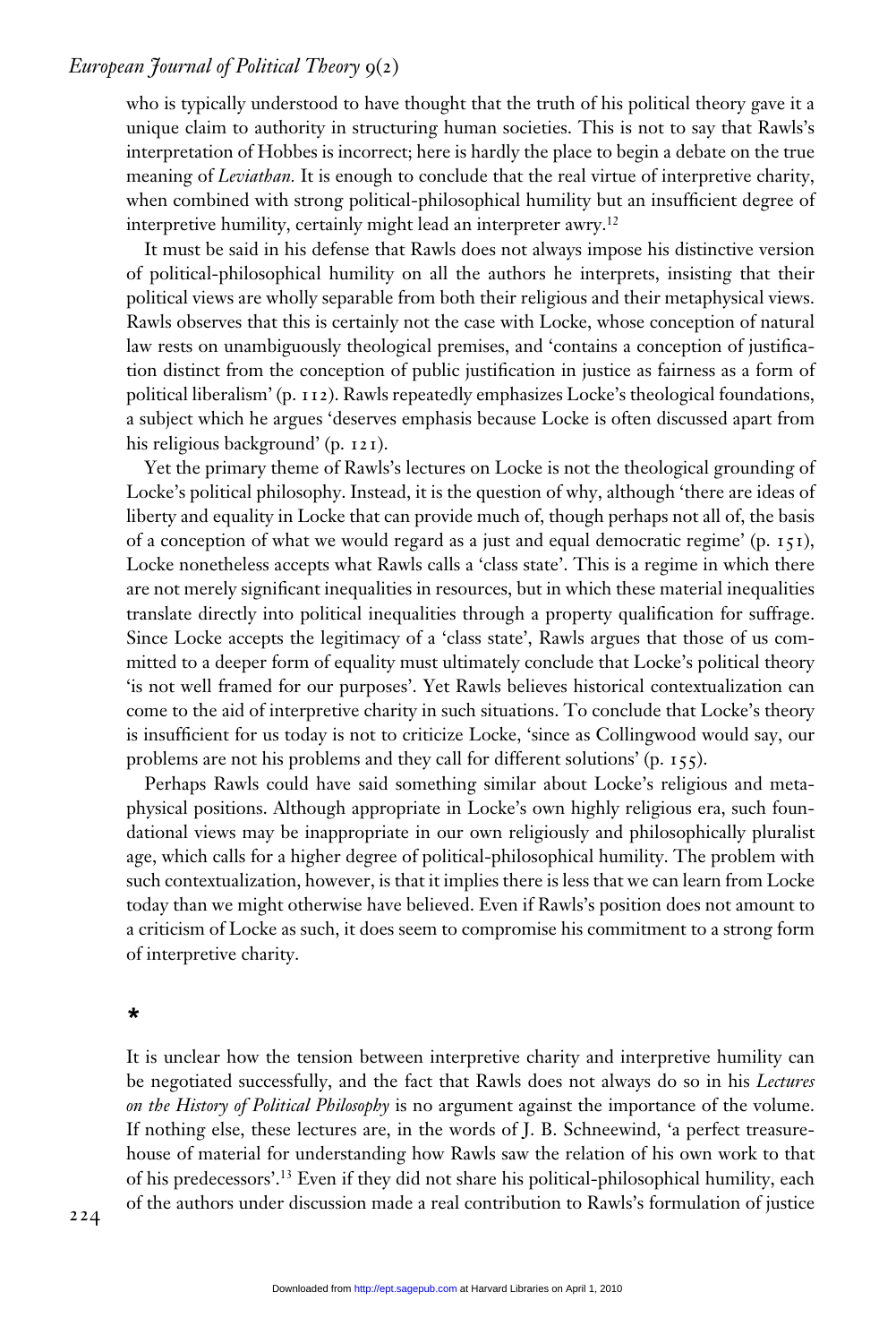who is typically understood to have thought that the truth of his political theory gave it a unique claim to authority in structuring human societies. This is not to say that Rawls's interpretation of Hobbes is incorrect; here is hardly the place to begin a debate on the true meaning of *Leviathan.* It is enough to conclude that the real virtue of interpretive charity, when combined with strong political-philosophical humility but an insufficient degree of interpretive humility, certainly might lead an interpreter awry.<sup>12</sup>

It must be said in his defense that Rawls does not always impose his distinctive version of political-philosophical humility on all the authors he interprets, insisting that their political views are wholly separable from both their religious and their metaphysical views. Rawls observes that this is certainly not the case with Locke, whose conception of natural law rests on unambiguously theological premises, and 'contains a conception of justification distinct from the conception of public justification in justice as fairness as a form of political liberalism' (p. 112). Rawls repeatedly emphasizes Locke's theological foundations, a subject which he argues 'deserves emphasis because Locke is often discussed apart from his religious background' (p. 121).

Yet the primary theme of Rawls's lectures on Locke is not the theological grounding of Locke's political philosophy. Instead, it is the question of why, although 'there are ideas of liberty and equality in Locke that can provide much of, though perhaps not all of, the basis of a conception of what we would regard as a just and equal democratic regime'  $(p. 151)$ , Locke nonetheless accepts what Rawls calls a 'class state'. This is a regime in which there are not merely significant inequalities in resources, but in which these material inequalities translate directly into political inequalities through a property qualification for suffrage. Since Locke accepts the legitimacy of a 'class state', Rawls argues that those of us committed to a deeper form of equality must ultimately conclude that Locke's political theory 'is not well framed for our purposes'. Yet Rawls believes historical contextualization can come to the aid of interpretive charity in such situations. To conclude that Locke's theory is insufficient for us today is not to criticize Locke, 'since as Collingwood would say, our problems are not his problems and they call for different solutions' (p. 155).

Perhaps Rawls could have said something similar about Locke's religious and metaphysical positions. Although appropriate in Locke's own highly religious era, such foundational views may be inappropriate in our own religiously and philosophically pluralist age, which calls for a higher degree of political-philosophical humility. The problem with such contextualization, however, is that it implies there is less that we can learn from Locke today than we might otherwise have believed. Even if Rawls's position does not amount to a criticism of Locke as such, it does seem to compromise his commitment to a strong form of interpretive charity.

#### **\***

It is unclear how the tension between interpretive charity and interpretive humility can be negotiated successfully, and the fact that Rawls does not always do so in his *Lectures on the History of Political Philosophy* is no argument against the importance of the volume. If nothing else, these lectures are, in the words of J. B. Schneewind, 'a perfect treasurehouse of material for understanding how Rawls saw the relation of his own work to that of his predecessors'.<sup>13</sup> Even if they did not share his political-philosophical humility, each of the authors under discussion made a real contribution to Rawls's formulation of justice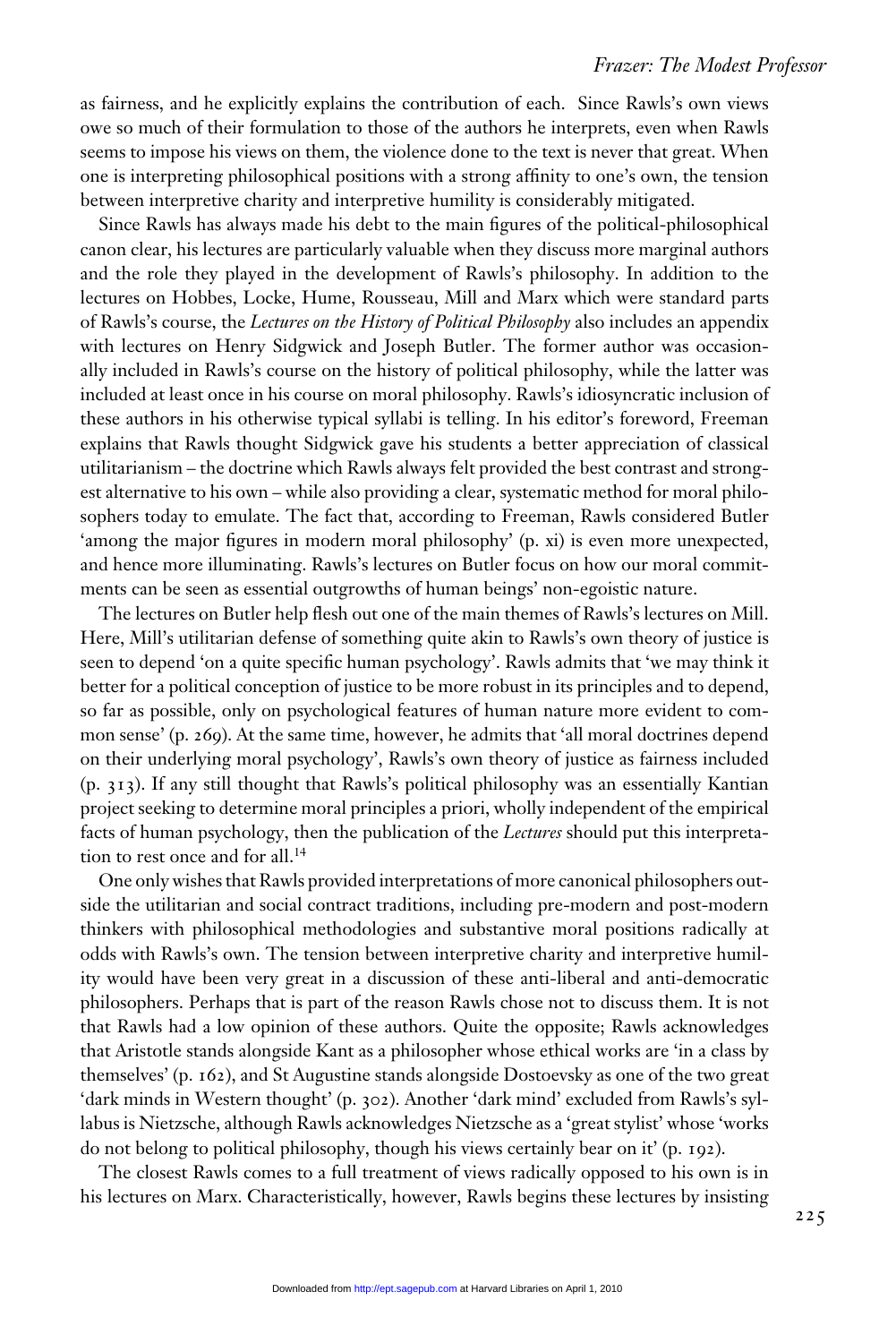as fairness, and he explicitly explains the contribution of each. Since Rawls's own views owe so much of their formulation to those of the authors he interprets, even when Rawls seems to impose his views on them, the violence done to the text is never that great. When one is interpreting philosophical positions with a strong affinity to one's own, the tension between interpretive charity and interpretive humility is considerably mitigated.

Since Rawls has always made his debt to the main figures of the political-philosophical canon clear, his lectures are particularly valuable when they discuss more marginal authors and the role they played in the development of Rawls's philosophy. In addition to the lectures on Hobbes, Locke, Hume, Rousseau, Mill and Marx which were standard parts of Rawls's course, the *Lectures on the History of Political Philosophy* also includes an appendix with lectures on Henry Sidgwick and Joseph Butler. The former author was occasionally included in Rawls's course on the history of political philosophy, while the latter was included at least once in his course on moral philosophy. Rawls's idiosyncratic inclusion of these authors in his otherwise typical syllabi is telling. In his editor's foreword, Freeman explains that Rawls thought Sidgwick gave his students a better appreciation of classical utilitarianism – the doctrine which Rawls always felt provided the best contrast and strongest alternative to his own – while also providing a clear, systematic method for moral philosophers today to emulate. The fact that, according to Freeman, Rawls considered Butler 'among the major figures in modern moral philosophy' (p. xi) is even more unexpected, and hence more illuminating. Rawls's lectures on Butler focus on how our moral commitments can be seen as essential outgrowths of human beings' non-egoistic nature.

The lectures on Butler help flesh out one of the main themes of Rawls's lectures on Mill. Here, Mill's utilitarian defense of something quite akin to Rawls's own theory of justice is seen to depend 'on a quite specific human psychology'. Rawls admits that 'we may think it better for a political conception of justice to be more robust in its principles and to depend, so far as possible, only on psychological features of human nature more evident to common sense' (p. 269). At the same time, however, he admits that 'all moral doctrines depend on their underlying moral psychology', Rawls's own theory of justice as fairness included (p. 313). If any still thought that Rawls's political philosophy was an essentially Kantian project seeking to determine moral principles a priori, wholly independent of the empirical facts of human psychology, then the publication of the *Lectures* should put this interpretation to rest once and for all.<sup>14</sup>

One only wishes that Rawls provided interpretations of more canonical philosophers outside the utilitarian and social contract traditions, including pre-modern and post-modern thinkers with philosophical methodologies and substantive moral positions radically at odds with Rawls's own. The tension between interpretive charity and interpretive humility would have been very great in a discussion of these anti-liberal and anti-democratic philosophers. Perhaps that is part of the reason Rawls chose not to discuss them. It is not that Rawls had a low opinion of these authors. Quite the opposite; Rawls acknowledges that Aristotle stands alongside Kant as a philosopher whose ethical works are 'in a class by themselves' (p. 162), and St Augustine stands alongside Dostoevsky as one of the two great 'dark minds in Western thought' (p. 302). Another 'dark mind' excluded from Rawls's syllabus is Nietzsche, although Rawls acknowledges Nietzsche as a 'great stylist' whose 'works do not belong to political philosophy, though his views certainly bear on it' (p. 192).

The closest Rawls comes to a full treatment of views radically opposed to his own is in his lectures on Marx. Characteristically, however, Rawls begins these lectures by insisting